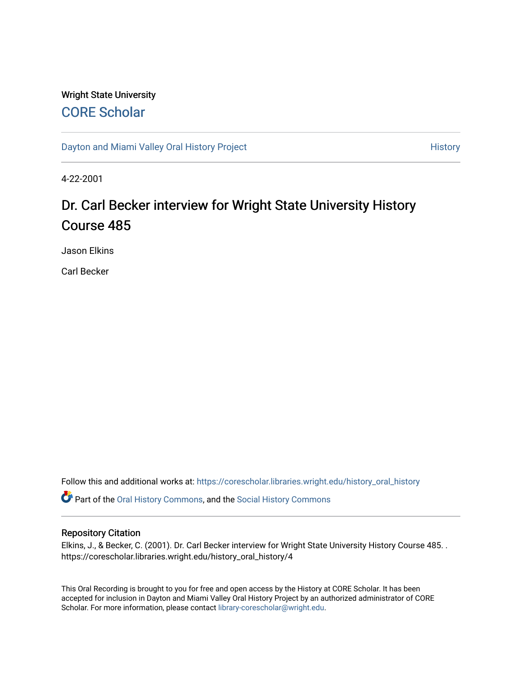## Wright State University [CORE Scholar](https://corescholar.libraries.wright.edu/)

[Dayton and Miami Valley Oral History Project](https://corescholar.libraries.wright.edu/history_oral_history) **History** History

4-22-2001

# Dr. Carl Becker interview for Wright State University History Course 485

Jason Elkins

Carl Becker

Follow this and additional works at: [https://corescholar.libraries.wright.edu/history\\_oral\\_history](https://corescholar.libraries.wright.edu/history_oral_history?utm_source=corescholar.libraries.wright.edu%2Fhistory_oral_history%2F4&utm_medium=PDF&utm_campaign=PDFCoverPages) 

Part of the [Oral History Commons](http://network.bepress.com/hgg/discipline/1195?utm_source=corescholar.libraries.wright.edu%2Fhistory_oral_history%2F4&utm_medium=PDF&utm_campaign=PDFCoverPages), and the [Social History Commons](http://network.bepress.com/hgg/discipline/506?utm_source=corescholar.libraries.wright.edu%2Fhistory_oral_history%2F4&utm_medium=PDF&utm_campaign=PDFCoverPages)

#### Repository Citation

Elkins, J., & Becker, C. (2001). Dr. Carl Becker interview for Wright State University History Course 485. . https://corescholar.libraries.wright.edu/history\_oral\_history/4

This Oral Recording is brought to you for free and open access by the History at CORE Scholar. It has been accepted for inclusion in Dayton and Miami Valley Oral History Project by an authorized administrator of CORE Scholar. For more information, please contact [library-corescholar@wright.edu](mailto:library-corescholar@wright.edu).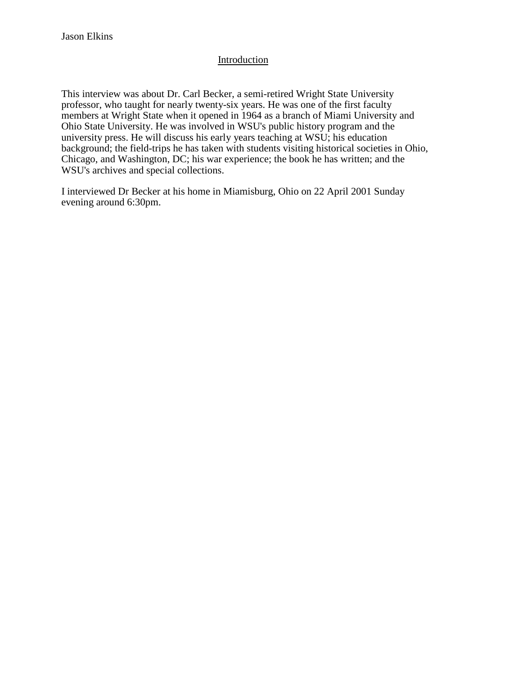## Introduction

This interview was about Dr. Carl Becker, a semi-retired Wright State University professor, who taught for nearly twenty-six years. He was one of the first faculty members at Wright State when it opened in 1964 as a branch of Miami University and Ohio State University. He was involved in WSU's public history program and the university press. He will discuss his early years teaching at WSU; his education background; the field-trips he has taken with students visiting historical societies in Ohio, Chicago, and Washington, DC; his war experience; the book he has written; and the WSU's archives and special collections.

I interviewed Dr Becker at his home in Miamisburg, Ohio on 22 April 2001 Sunday evening around 6:30pm.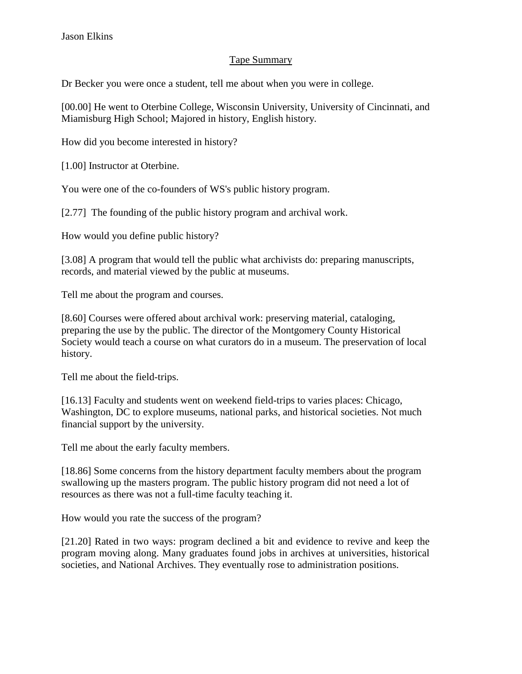## Tape Summary

Dr Becker you were once a student, tell me about when you were in college.

[00.00] He went to Oterbine College, Wisconsin University, University of Cincinnati, and Miamisburg High School; Majored in history, English history.

How did you become interested in history?

[1.00] Instructor at Oterbine.

You were one of the co-founders of WS's public history program.

[2.77] The founding of the public history program and archival work.

How would you define public history?

[3.08] A program that would tell the public what archivists do: preparing manuscripts, records, and material viewed by the public at museums.

Tell me about the program and courses.

[8.60] Courses were offered about archival work: preserving material, cataloging, preparing the use by the public. The director of the Montgomery County Historical Society would teach a course on what curators do in a museum. The preservation of local history.

Tell me about the field-trips.

[16.13] Faculty and students went on weekend field-trips to varies places: Chicago, Washington, DC to explore museums, national parks, and historical societies. Not much financial support by the university.

Tell me about the early faculty members.

[18.86] Some concerns from the history department faculty members about the program swallowing up the masters program. The public history program did not need a lot of resources as there was not a full-time faculty teaching it.

How would you rate the success of the program?

[21.20] Rated in two ways: program declined a bit and evidence to revive and keep the program moving along. Many graduates found jobs in archives at universities, historical societies, and National Archives. They eventually rose to administration positions.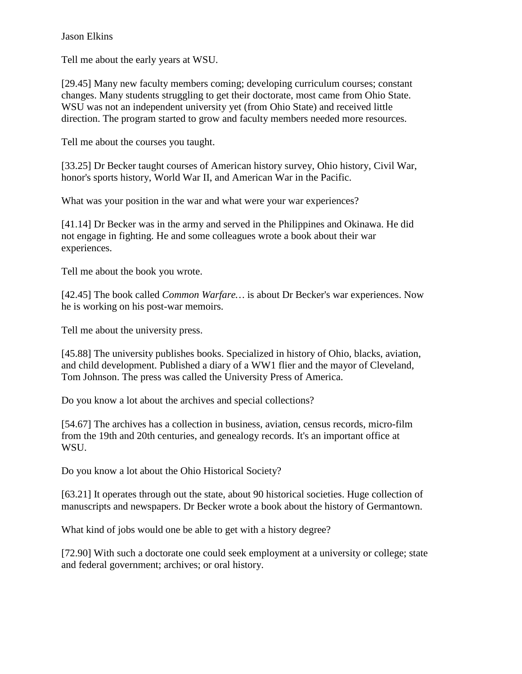Tell me about the early years at WSU.

[29.45] Many new faculty members coming; developing curriculum courses; constant changes. Many students struggling to get their doctorate, most came from Ohio State. WSU was not an independent university yet (from Ohio State) and received little direction. The program started to grow and faculty members needed more resources.

Tell me about the courses you taught.

[33.25] Dr Becker taught courses of American history survey, Ohio history, Civil War, honor's sports history, World War II, and American War in the Pacific.

What was your position in the war and what were your war experiences?

[41.14] Dr Becker was in the army and served in the Philippines and Okinawa. He did not engage in fighting. He and some colleagues wrote a book about their war experiences.

Tell me about the book you wrote.

[42.45] The book called *Common Warfare*... is about Dr Becker's war experiences. Now he is working on his post-war memoirs.

Tell me about the university press.

[45.88] The university publishes books. Specialized in history of Ohio, blacks, aviation, and child development. Published a diary of a WW1 flier and the mayor of Cleveland, Tom Johnson. The press was called the University Press of America.

Do you know a lot about the archives and special collections?

[54.67] The archives has a collection in business, aviation, census records, micro-film from the 19th and 20th centuries, and genealogy records. It's an important office at WSU.

Do you know a lot about the Ohio Historical Society?

[63.21] It operates through out the state, about 90 historical societies. Huge collection of manuscripts and newspapers. Dr Becker wrote a book about the history of Germantown.

What kind of jobs would one be able to get with a history degree?

[72.90] With such a doctorate one could seek employment at a university or college; state and federal government; archives; or oral history.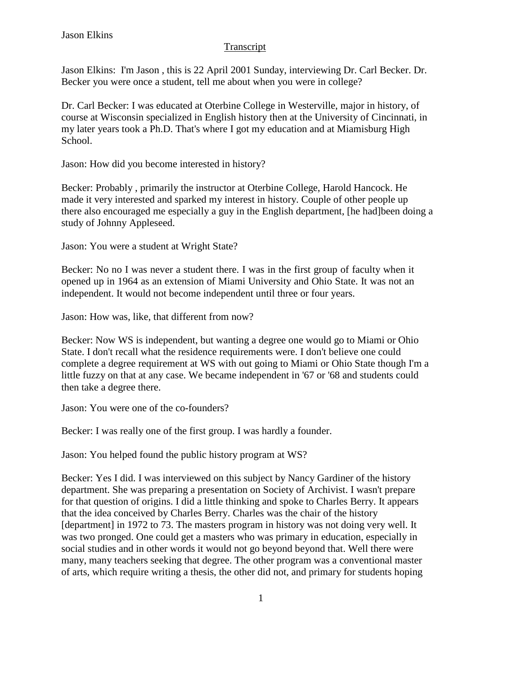## Transcript

Jason Elkins: I'm Jason , this is 22 April 2001 Sunday, interviewing Dr. Carl Becker. Dr. Becker you were once a student, tell me about when you were in college?

Dr. Carl Becker: I was educated at Oterbine College in Westerville, major in history, of course at Wisconsin specialized in English history then at the University of Cincinnati, in my later years took a Ph.D. That's where I got my education and at Miamisburg High School.

Jason: How did you become interested in history?

Becker: Probably , primarily the instructor at Oterbine College, Harold Hancock. He made it very interested and sparked my interest in history. Couple of other people up there also encouraged me especially a guy in the English department, [he had]been doing a study of Johnny Appleseed.

Jason: You were a student at Wright State?

Becker: No no I was never a student there. I was in the first group of faculty when it opened up in 1964 as an extension of Miami University and Ohio State. It was not an independent. It would not become independent until three or four years.

Jason: How was, like, that different from now?

Becker: Now WS is independent, but wanting a degree one would go to Miami or Ohio State. I don't recall what the residence requirements were. I don't believe one could complete a degree requirement at WS with out going to Miami or Ohio State though I'm a little fuzzy on that at any case. We became independent in '67 or '68 and students could then take a degree there.

Jason: You were one of the co-founders?

Becker: I was really one of the first group. I was hardly a founder.

Jason: You helped found the public history program at WS?

Becker: Yes I did. I was interviewed on this subject by Nancy Gardiner of the history department. She was preparing a presentation on Society of Archivist. I wasn't prepare for that question of origins. I did a little thinking and spoke to Charles Berry. It appears that the idea conceived by Charles Berry. Charles was the chair of the history [department] in 1972 to 73. The masters program in history was not doing very well. It was two pronged. One could get a masters who was primary in education, especially in social studies and in other words it would not go beyond beyond that. Well there were many, many teachers seeking that degree. The other program was a conventional master of arts, which require writing a thesis, the other did not, and primary for students hoping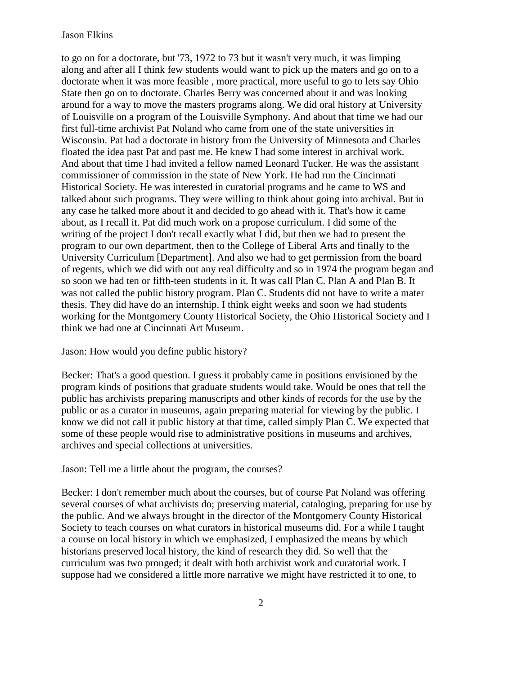to go on for a doctorate, but '73, 1972 to 73 but it wasn't very much, it was limping along and after all I think few students would want to pick up the maters and go on to a doctorate when it was more feasible , more practical, more useful to go to lets say Ohio State then go on to doctorate. Charles Berry was concerned about it and was looking around for a way to move the masters programs along. We did oral history at University of Louisville on a program of the Louisville Symphony. And about that time we had our first full-time archivist Pat Noland who came from one of the state universities in Wisconsin. Pat had a doctorate in history from the University of Minnesota and Charles floated the idea past Pat and past me. He knew I had some interest in archival work. And about that time I had invited a fellow named Leonard Tucker. He was the assistant commissioner of commission in the state of New York. He had run the Cincinnati Historical Society. He was interested in curatorial programs and he came to WS and talked about such programs. They were willing to think about going into archival. But in any case he talked more about it and decided to go ahead with it. That's how it came about, as I recall it. Pat did much work on a propose curriculum. I did some of the writing of the project I don't recall exactly what I did, but then we had to present the program to our own department, then to the College of Liberal Arts and finally to the University Curriculum [Department]. And also we had to get permission from the board of regents, which we did with out any real difficulty and so in 1974 the program began and so soon we had ten or fifth-teen students in it. It was call Plan C. Plan A and Plan B. It was not called the public history program. Plan C. Students did not have to write a mater thesis. They did have do an internship. I think eight weeks and soon we had students working for the Montgomery County Historical Society, the Ohio Historical Society and I think we had one at Cincinnati Art Museum.

Jason: How would you define public history?

Becker: That's a good question. I guess it probably came in positions envisioned by the program kinds of positions that graduate students would take. Would be ones that tell the public has archivists preparing manuscripts and other kinds of records for the use by the public or as a curator in museums, again preparing material for viewing by the public. I know we did not call it public history at that time, called simply Plan C. We expected that some of these people would rise to administrative positions in museums and archives, archives and special collections at universities.

#### Jason: Tell me a little about the program, the courses?

Becker: I don't remember much about the courses, but of course Pat Noland was offering several courses of what archivists do; preserving material, cataloging, preparing for use by the public. And we always brought in the director of the Montgomery County Historical Society to teach courses on what curators in historical museums did. For a while I taught a course on local history in which we emphasized, I emphasized the means by which historians preserved local history, the kind of research they did. So well that the curriculum was two pronged; it dealt with both archivist work and curatorial work. I suppose had we considered a little more narrative we might have restricted it to one, to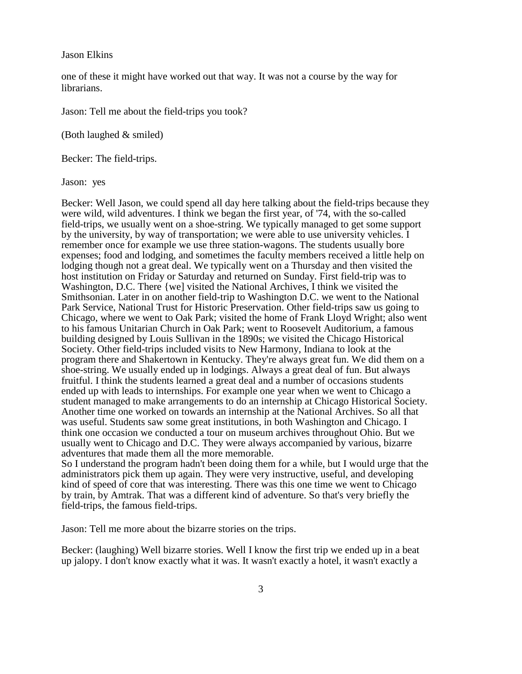one of these it might have worked out that way. It was not a course by the way for librarians.

Jason: Tell me about the field-trips you took?

(Both laughed & smiled)

Becker: The field-trips.

Jason: yes

Becker: Well Jason, we could spend all day here talking about the field-trips because they were wild, wild adventures. I think we began the first year, of '74, with the so-called field-trips, we usually went on a shoe-string. We typically managed to get some support by the university, by way of transportation; we were able to use university vehicles. I remember once for example we use three station-wagons. The students usually bore expenses; food and lodging, and sometimes the faculty members received a little help on lodging though not a great deal. We typically went on a Thursday and then visited the host institution on Friday or Saturday and returned on Sunday. First field-trip was to Washington, D.C. There {we] visited the National Archives, I think we visited the Smithsonian. Later in on another field-trip to Washington D.C. we went to the National Park Service, National Trust for Historic Preservation. Other field-trips saw us going to Chicago, where we went to Oak Park; visited the home of Frank Lloyd Wright; also went to his famous Unitarian Church in Oak Park; went to Roosevelt Auditorium, a famous building designed by Louis Sullivan in the 1890s; we visited the Chicago Historical Society. Other field-trips included visits to New Harmony, Indiana to look at the program there and Shakertown in Kentucky. They're always great fun. We did them on a shoe-string. We usually ended up in lodgings. Always a great deal of fun. But always fruitful. I think the students learned a great deal and a number of occasions students ended up with leads to internships. For example one year when we went to Chicago a student managed to make arrangements to do an internship at Chicago Historical Society. Another time one worked on towards an internship at the National Archives. So all that was useful. Students saw some great institutions, in both Washington and Chicago. I think one occasion we conducted a tour on museum archives throughout Ohio. But we usually went to Chicago and D.C. They were always accompanied by various, bizarre adventures that made them all the more memorable.

So I understand the program hadn't been doing them for a while, but I would urge that the administrators pick them up again. They were very instructive, useful, and developing kind of speed of core that was interesting. There was this one time we went to Chicago by train, by Amtrak. That was a different kind of adventure. So that's very briefly the field-trips, the famous field-trips.

Jason: Tell me more about the bizarre stories on the trips.

Becker: (laughing) Well bizarre stories. Well I know the first trip we ended up in a beat up jalopy. I don't know exactly what it was. It wasn't exactly a hotel, it wasn't exactly a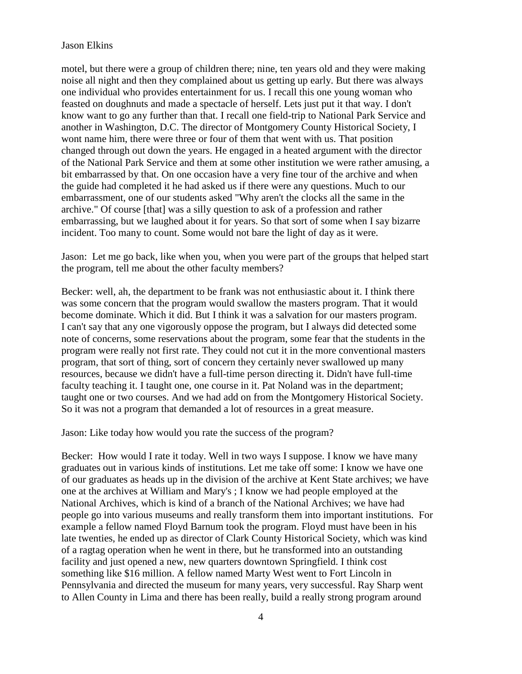motel, but there were a group of children there; nine, ten years old and they were making noise all night and then they complained about us getting up early. But there was always one individual who provides entertainment for us. I recall this one young woman who feasted on doughnuts and made a spectacle of herself. Lets just put it that way. I don't know want to go any further than that. I recall one field-trip to National Park Service and another in Washington, D.C. The director of Montgomery County Historical Society, I wont name him, there were three or four of them that went with us. That position changed through out down the years. He engaged in a heated argument with the director of the National Park Service and them at some other institution we were rather amusing, a bit embarrassed by that. On one occasion have a very fine tour of the archive and when the guide had completed it he had asked us if there were any questions. Much to our embarrassment, one of our students asked "Why aren't the clocks all the same in the archive." Of course [that] was a silly question to ask of a profession and rather embarrassing, but we laughed about it for years. So that sort of some when I say bizarre incident. Too many to count. Some would not bare the light of day as it were.

Jason: Let me go back, like when you, when you were part of the groups that helped start the program, tell me about the other faculty members?

Becker: well, ah, the department to be frank was not enthusiastic about it. I think there was some concern that the program would swallow the masters program. That it would become dominate. Which it did. But I think it was a salvation for our masters program. I can't say that any one vigorously oppose the program, but I always did detected some note of concerns, some reservations about the program, some fear that the students in the program were really not first rate. They could not cut it in the more conventional masters program, that sort of thing, sort of concern they certainly never swallowed up many resources, because we didn't have a full-time person directing it. Didn't have full-time faculty teaching it. I taught one, one course in it. Pat Noland was in the department; taught one or two courses. And we had add on from the Montgomery Historical Society. So it was not a program that demanded a lot of resources in a great measure.

Jason: Like today how would you rate the success of the program?

Becker: How would I rate it today. Well in two ways I suppose. I know we have many graduates out in various kinds of institutions. Let me take off some: I know we have one of our graduates as heads up in the division of the archive at Kent State archives; we have one at the archives at William and Mary's ; I know we had people employed at the National Archives, which is kind of a branch of the National Archives; we have had people go into various museums and really transform them into important institutions. For example a fellow named Floyd Barnum took the program. Floyd must have been in his late twenties, he ended up as director of Clark County Historical Society, which was kind of a ragtag operation when he went in there, but he transformed into an outstanding facility and just opened a new, new quarters downtown Springfield. I think cost something like \$16 million. A fellow named Marty West went to Fort Lincoln in Pennsylvania and directed the museum for many years, very successful. Ray Sharp went to Allen County in Lima and there has been really, build a really strong program around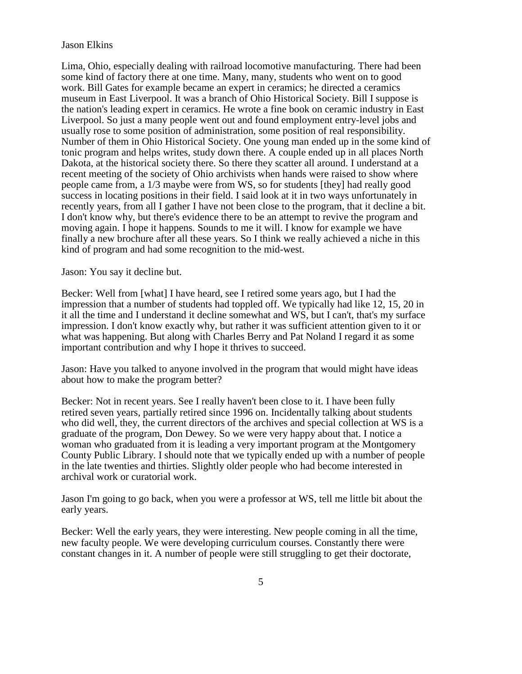Lima, Ohio, especially dealing with railroad locomotive manufacturing. There had been some kind of factory there at one time. Many, many, students who went on to good work. Bill Gates for example became an expert in ceramics; he directed a ceramics museum in East Liverpool. It was a branch of Ohio Historical Society. Bill I suppose is the nation's leading expert in ceramics. He wrote a fine book on ceramic industry in East Liverpool. So just a many people went out and found employment entry-level jobs and usually rose to some position of administration, some position of real responsibility. Number of them in Ohio Historical Society. One young man ended up in the some kind of tonic program and helps writes, study down there. A couple ended up in all places North Dakota, at the historical society there. So there they scatter all around. I understand at a recent meeting of the society of Ohio archivists when hands were raised to show where people came from, a 1/3 maybe were from WS, so for students [they] had really good success in locating positions in their field. I said look at it in two ways unfortunately in recently years, from all I gather I have not been close to the program, that it decline a bit. I don't know why, but there's evidence there to be an attempt to revive the program and moving again. I hope it happens. Sounds to me it will. I know for example we have finally a new brochure after all these years. So I think we really achieved a niche in this kind of program and had some recognition to the mid-west.

Jason: You say it decline but.

Becker: Well from [what] I have heard, see I retired some years ago, but I had the impression that a number of students had toppled off. We typically had like 12, 15, 20 in it all the time and I understand it decline somewhat and WS, but I can't, that's my surface impression. I don't know exactly why, but rather it was sufficient attention given to it or what was happening. But along with Charles Berry and Pat Noland I regard it as some important contribution and why I hope it thrives to succeed.

Jason: Have you talked to anyone involved in the program that would might have ideas about how to make the program better?

Becker: Not in recent years. See I really haven't been close to it. I have been fully retired seven years, partially retired since 1996 on. Incidentally talking about students who did well, they, the current directors of the archives and special collection at WS is a graduate of the program, Don Dewey. So we were very happy about that. I notice a woman who graduated from it is leading a very important program at the Montgomery County Public Library. I should note that we typically ended up with a number of people in the late twenties and thirties. Slightly older people who had become interested in archival work or curatorial work.

Jason I'm going to go back, when you were a professor at WS, tell me little bit about the early years.

Becker: Well the early years, they were interesting. New people coming in all the time, new faculty people. We were developing curriculum courses. Constantly there were constant changes in it. A number of people were still struggling to get their doctorate,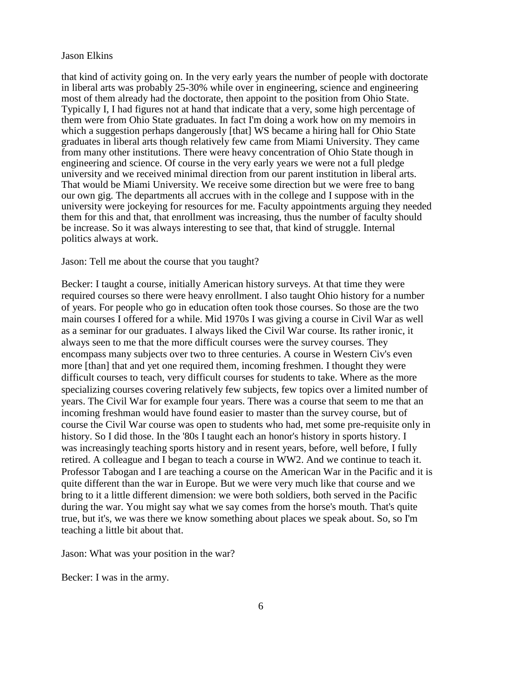that kind of activity going on. In the very early years the number of people with doctorate in liberal arts was probably 25-30% while over in engineering, science and engineering most of them already had the doctorate, then appoint to the position from Ohio State. Typically I, I had figures not at hand that indicate that a very, some high percentage of them were from Ohio State graduates. In fact I'm doing a work how on my memoirs in which a suggestion perhaps dangerously [that] WS became a hiring hall for Ohio State graduates in liberal arts though relatively few came from Miami University. They came from many other institutions. There were heavy concentration of Ohio State though in engineering and science. Of course in the very early years we were not a full pledge university and we received minimal direction from our parent institution in liberal arts. That would be Miami University. We receive some direction but we were free to bang our own gig. The departments all accrues with in the college and I suppose with in the university were jockeying for resources for me. Faculty appointments arguing they needed them for this and that, that enrollment was increasing, thus the number of faculty should be increase. So it was always interesting to see that, that kind of struggle. Internal politics always at work.

#### Jason: Tell me about the course that you taught?

Becker: I taught a course, initially American history surveys. At that time they were required courses so there were heavy enrollment. I also taught Ohio history for a number of years. For people who go in education often took those courses. So those are the two main courses I offered for a while. Mid 1970s I was giving a course in Civil War as well as a seminar for our graduates. I always liked the Civil War course. Its rather ironic, it always seen to me that the more difficult courses were the survey courses. They encompass many subjects over two to three centuries. A course in Western Civ's even more [than] that and yet one required them, incoming freshmen. I thought they were difficult courses to teach, very difficult courses for students to take. Where as the more specializing courses covering relatively few subjects, few topics over a limited number of years. The Civil War for example four years. There was a course that seem to me that an incoming freshman would have found easier to master than the survey course, but of course the Civil War course was open to students who had, met some pre-requisite only in history. So I did those. In the '80s I taught each an honor's history in sports history. I was increasingly teaching sports history and in resent years, before, well before, I fully retired. A colleague and I began to teach a course in WW2. And we continue to teach it. Professor Tabogan and I are teaching a course on the American War in the Pacific and it is quite different than the war in Europe. But we were very much like that course and we bring to it a little different dimension: we were both soldiers, both served in the Pacific during the war. You might say what we say comes from the horse's mouth. That's quite true, but it's, we was there we know something about places we speak about. So, so I'm teaching a little bit about that.

Jason: What was your position in the war?

Becker: I was in the army.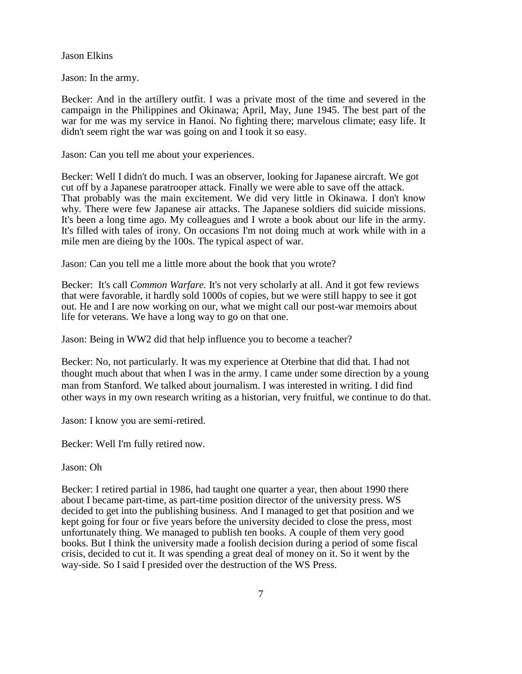Jason: In the army.

Becker: And in the artillery outfit. I was a private most of the time and severed in the campaign in the Philippines and Okinawa; April, May, June 1945. The best part of the war for me was my service in Hanoi. No fighting there; marvelous climate; easy life. It didn't seem right the war was going on and I took it so easy.

Jason: Can you tell me about your experiences.

Becker: Well I didn't do much. I was an observer, looking for Japanese aircraft. We got cut off by a Japanese paratrooper attack. Finally we were able to save off the attack. That probably was the main excitement. We did very little in Okinawa. I don't know why. There were few Japanese air attacks. The Japanese soldiers did suicide missions. It's been a long time ago. My colleagues and I wrote a book about our life in the army. It's filled with tales of irony. On occasions I'm not doing much at work while with in a mile men are dieing by the 100s. The typical aspect of war.

Jason: Can you tell me a little more about the book that you wrote?

Becker: It's call *Common Warfare.* It's not very scholarly at all. And it got few reviews that were favorable, it hardly sold 1000s of copies, but we were still happy to see it got out. He and I are now working on our, what we might call our post-war memoirs about life for veterans. We have a long way to go on that one.

Jason: Being in WW2 did that help influence you to become a teacher?

Becker: No, not particularly. It was my experience at Oterbine that did that. I had not thought much about that when I was in the army. I came under some direction by a young man from Stanford. We talked about journalism. I was interested in writing. I did find other ways in my own research writing as a historian, very fruitful, we continue to do that.

Jason: I know you are semi-retired.

Becker: Well I'm fully retired now.

Jason: Oh

Becker: I retired partial in 1986, had taught one quarter a year, then about 1990 there about I became part-time, as part-time position director of the university press. WS decided to get into the publishing business. And I managed to get that position and we kept going for four or five years before the university decided to close the press, most unfortunately thing. We managed to publish ten books. A couple of them very good books. But I think the university made a foolish decision during a period of some fiscal crisis, decided to cut it. It was spending a great deal of money on it. So it went by the way-side. So I said I presided over the destruction of the WS Press.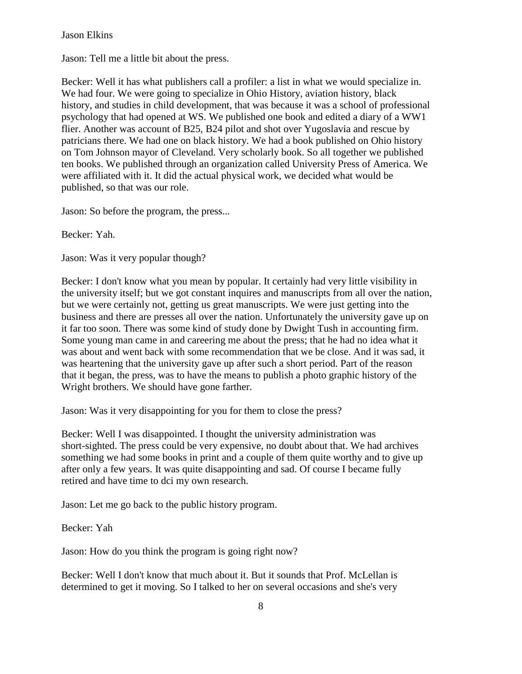Jason: Tell me a little bit about the press.

Becker: Well it has what publishers call a profiler: a list in what we would specialize in. We had four. We were going to specialize in Ohio History, aviation history, black history, and studies in child development, that was because it was a school of professional psychology that had opened at WS. We published one book and edited a diary of a WW1 flier. Another was account of B25, B24 pilot and shot over Yugoslavia and rescue by patricians there. We had one on black history. We had a book published on Ohio history on Tom Johnson mayor of Cleveland. Very scholarly book. So all together we published ten books. We published through an organization called University Press of America. We were affiliated with it. It did the actual physical work, we decided what would be published, so that was our role.

Jason: So before the program, the press...

Becker: Yah.

Jason: Was it very popular though?

Becker: I don't know what you mean by popular. It certainly had very little visibility in the university itself; but we got constant inquires and manuscripts from all over the nation, but we were certainly not, getting us great manuscripts. We were just getting into the business and there are presses all over the nation. Unfortunately the university gave up on it far too soon. There was some kind of study done by Dwight Tush in accounting firm. Some young man came in and careering me about the press; that he had no idea what it was about and went back with some recommendation that we be close. And it was sad, it was heartening that the university gave up after such a short period. Part of the reason that it began, the press, was to have the means to publish a photo graphic history of the Wright brothers. We should have gone farther.

Jason: Was it very disappointing for you for them to close the press?

Becker: Well I was disappointed. I thought the university administration was short-sighted. The press could be very expensive, no doubt about that. We had archives something we had some books in print and a couple of them quite worthy and to give up after only a few years. It was quite disappointing and sad. Of course I became fully retired and have time to dci my own research.

Jason: Let me go back to the public history program.

Becker: Yah

Jason: How do you think the program is going right now?

Becker: Well I don't know that much about it. But it sounds that Prof. McLellan is determined to get it moving. So I talked to her on several occasions and she's very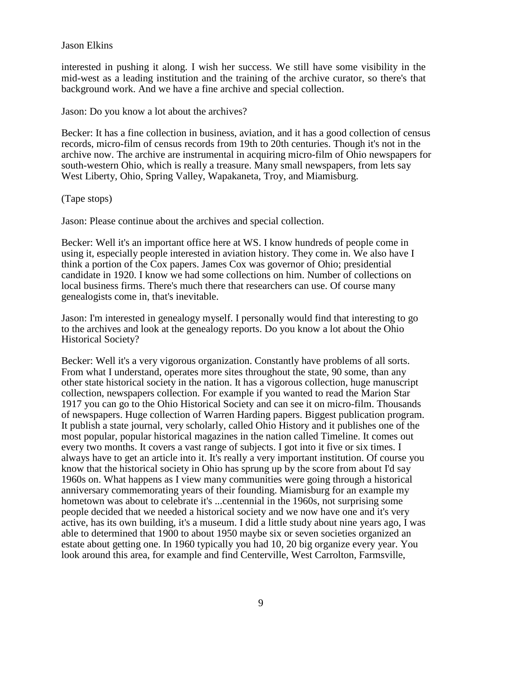interested in pushing it along. I wish her success. We still have some visibility in the mid-west as a leading institution and the training of the archive curator, so there's that background work. And we have a fine archive and special collection.

Jason: Do you know a lot about the archives?

Becker: It has a fine collection in business, aviation, and it has a good collection of census records, micro-film of census records from 19th to 20th centuries. Though it's not in the archive now. The archive are instrumental in acquiring micro-film of Ohio newspapers for south-western Ohio, which is really a treasure. Many small newspapers, from lets say West Liberty, Ohio, Spring Valley, Wapakaneta, Troy, and Miamisburg.

(Tape stops)

Jason: Please continue about the archives and special collection.

Becker: Well it's an important office here at WS. I know hundreds of people come in using it, especially people interested in aviation history. They come in. We also have I think a portion of the Cox papers. James Cox was governor of Ohio; presidential candidate in 1920. I know we had some collections on him. Number of collections on local business firms. There's much there that researchers can use. Of course many genealogists come in, that's inevitable.

Jason: I'm interested in genealogy myself. I personally would find that interesting to go to the archives and look at the genealogy reports. Do you know a lot about the Ohio Historical Society?

Becker: Well it's a very vigorous organization. Constantly have problems of all sorts. From what I understand, operates more sites throughout the state, 90 some, than any other state historical society in the nation. It has a vigorous collection, huge manuscript collection, newspapers collection. For example if you wanted to read the Marion Star 1917 you can go to the Ohio Historical Society and can see it on micro-film. Thousands of newspapers. Huge collection of Warren Harding papers. Biggest publication program. It publish a state journal, very scholarly, called Ohio History and it publishes one of the most popular, popular historical magazines in the nation called Timeline. It comes out every two months. It covers a vast range of subjects. I got into it five or six times. I always have to get an article into it. It's really a very important institution. Of course you know that the historical society in Ohio has sprung up by the score from about I'd say 1960s on. What happens as I view many communities were going through a historical anniversary commemorating years of their founding. Miamisburg for an example my hometown was about to celebrate it's ...centennial in the 1960s, not surprising some people decided that we needed a historical society and we now have one and it's very active, has its own building, it's a museum. I did a little study about nine years ago, I was able to determined that 1900 to about 1950 maybe six or seven societies organized an estate about getting one. In 1960 typically you had 10, 20 big organize every year. You look around this area, for example and find Centerville, West Carrolton, Farmsville,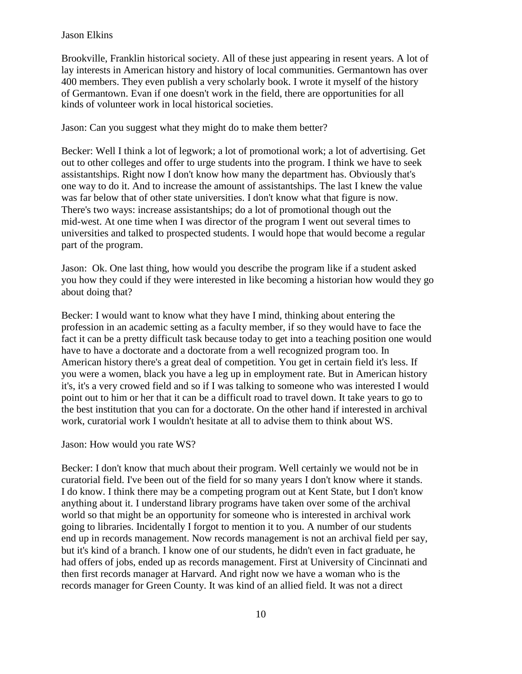Brookville, Franklin historical society. All of these just appearing in resent years. A lot of lay interests in American history and history of local communities. Germantown has over 400 members. They even publish a very scholarly book. I wrote it myself of the history of Germantown. Evan if one doesn't work in the field, there are opportunities for all kinds of volunteer work in local historical societies.

Jason: Can you suggest what they might do to make them better?

Becker: Well I think a lot of legwork; a lot of promotional work; a lot of advertising. Get out to other colleges and offer to urge students into the program. I think we have to seek assistantships. Right now I don't know how many the department has. Obviously that's one way to do it. And to increase the amount of assistantships. The last I knew the value was far below that of other state universities. I don't know what that figure is now. There's two ways: increase assistantships; do a lot of promotional though out the mid-west. At one time when I was director of the program I went out several times to universities and talked to prospected students. I would hope that would become a regular part of the program.

Jason: Ok. One last thing, how would you describe the program like if a student asked you how they could if they were interested in like becoming a historian how would they go about doing that?

Becker: I would want to know what they have I mind, thinking about entering the profession in an academic setting as a faculty member, if so they would have to face the fact it can be a pretty difficult task because today to get into a teaching position one would have to have a doctorate and a doctorate from a well recognized program too. In American history there's a great deal of competition. You get in certain field it's less. If you were a women, black you have a leg up in employment rate. But in American history it's, it's a very crowed field and so if I was talking to someone who was interested I would point out to him or her that it can be a difficult road to travel down. It take years to go to the best institution that you can for a doctorate. On the other hand if interested in archival work, curatorial work I wouldn't hesitate at all to advise them to think about WS.

## Jason: How would you rate WS?

Becker: I don't know that much about their program. Well certainly we would not be in curatorial field. I've been out of the field for so many years I don't know where it stands. I do know. I think there may be a competing program out at Kent State, but I don't know anything about it. I understand library programs have taken over some of the archival world so that might be an opportunity for someone who is interested in archival work going to libraries. Incidentally I forgot to mention it to you. A number of our students end up in records management. Now records management is not an archival field per say, but it's kind of a branch. I know one of our students, he didn't even in fact graduate, he had offers of jobs, ended up as records management. First at University of Cincinnati and then first records manager at Harvard. And right now we have a woman who is the records manager for Green County. It was kind of an allied field. It was not a direct